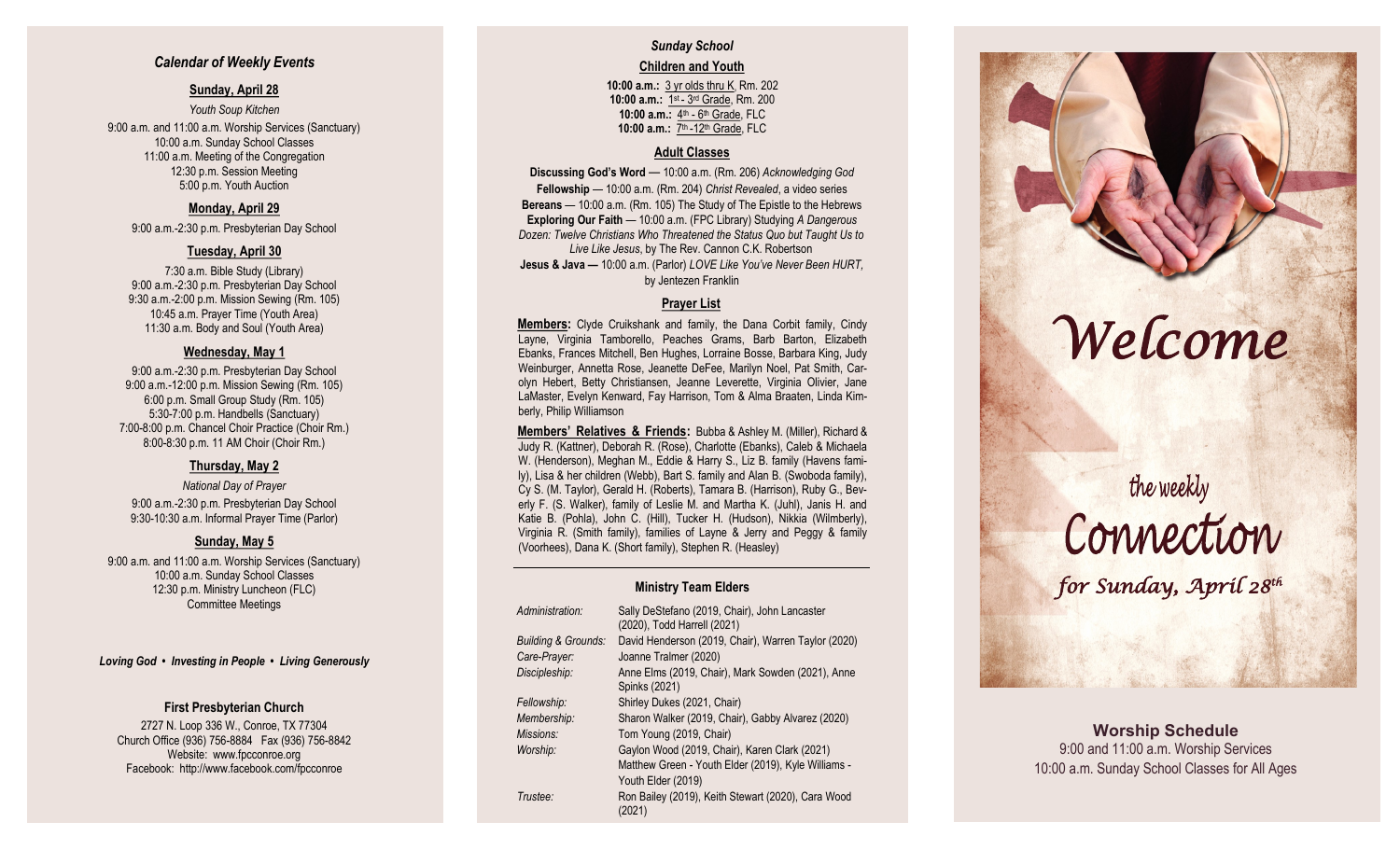#### *Calendar of Weekly Events*

#### **Sunday, April 28**

*Youth Soup Kitchen* 9:00 a.m. and 11:00 a.m. Worship Services (Sanctuary) 10:00 a.m. Sunday School Classes 11:00 a.m. Meeting of the Congregation 12:30 p.m. Session Meeting 5:00 p.m. Youth Auction

#### **Monday, April 29**

9:00 a.m. -2:30 p.m. Presbyterian Day School

#### **Tuesday, April 30**

7:30 a.m. Bible Study (Library) 9:00 a.m. -2:30 p.m. Presbyterian Day School 9:30 a.m. -2:00 p.m. Mission Sewing (Rm. 105) 10:45 a.m. Prayer Time (Youth Area) 11:30 a.m. Body and Soul (Youth Area)

#### **Wednesday, May 1**

9:00 a.m. -2:30 p.m. Presbyterian Day School 9:00 a.m. -12:00 p.m. Mission Sewing (Rm. 105) 6:00 p.m. Small Group Study (Rm. 105) 5:30 -7:00 p.m. Handbells (Sanctuary) 7:00 -8:00 p.m. Chancel Choir Practice (Choir Rm.) 8:00 -8:30 p.m. 11 AM Choir (Choir Rm.)

#### **Thursday, May 2**

*National Day of Prayer* 9:00 a.m. -2:30 p.m. Presbyterian Day School 9:30 -10:30 a.m. Informal Prayer Time (Parlor)

#### **Sunday, May 5**

9:00 a.m. and 11:00 a.m. Worship Services (Sanctuary) 10:00 a.m. Sunday School Classes 12:30 p.m. Ministry Luncheon (FLC) Committee Meetings

*Loving God • Investing in People • Living Generously*

#### **First Presbyterian Church**

2727 N. Loop 336 W., Conroe, TX 77304 Church Office (936) 756 -8884 Fax (936) 756 -8842 Website: [www.fpcconroe.org](http://www.fpcconroe.org/) Facebook: <http://www.facebook.com/fpcconroe>

# *Sunday School*

#### **Children and Youth**

**10:00 a.m.:** 3 yr olds thru K, Rm. 202 10:00 a.m.: 1<sup>st</sup> - 3<sup>rd</sup> Grade, Rm. 200 10:00 a.m.: 4<sup>th</sup> - 6<sup>th</sup> Grade, FLC 10:00 a.m.: 7<sup>th</sup> -12<sup>th</sup> Grade, FLC

#### **Adult Classes**

**Discussing God's Word**  — 10:00 a.m. (Rm. 206) *Acknowledging God* **Fellowship** — 10:00 a.m. (Rm. 204) *Christ Revealed*, a video series **Bereans** — 10:00 a.m. (Rm. 105) The Study of The Epistle to the Hebrews **Exploring Our Faith**  — 10:00 a.m. (FPC Library) Studying *A Dangerous Dozen: Twelve Christians Who Threatened the Status Quo but Taught Us to Live Like Jesus*, by The Rev. Cannon C.K. Robertson **Jesus & Java —** 10:00 a.m. (Parlor) *LOVE Like You've Never Been HURT,*  by Jentezen Franklin

#### **Prayer List**

**Members :** Clyde Cruikshank and family, the Dana Corbit family, Cindy Layne, Virginia Tamborello, Peaches Grams, Barb Barton, Elizabeth Ebanks, Frances Mitchell, Ben Hughes, Lorraine Bosse, Barbara King, Judy Weinburger, Annetta Rose, Jeanette DeFee, Marilyn Noel, Pat Smith, Carolyn Hebert, Betty Christiansen, Jeanne Leverette, Virginia Olivier, Jane LaMaster, Evelyn Kenward, Fay Harrison, Tom & Alma Braaten, Linda Kimberly, Philip Williamson

**Members' Relatives & Friends:** Bubba & Ashley M. (Miller), Richard & Judy R. (Kattner), Deborah R. (Rose), Charlotte (Ebanks), Caleb & Michaela W. (Henderson), Meghan M., Eddie & Harry S., Liz B. family (Havens family), Lisa & her children (Webb), Bart S. family and Alan B. (Swoboda family), Cy S. (M. Taylor), Gerald H. (Roberts), Tamara B. (Harrison), Ruby G., Beverly F. (S. Walker), family of Leslie M. and Martha K. (Juhl), Janis H. and Katie B. (Pohla), John C. (Hill), Tucker H. (Hudson), Nikkia (Wilmberly), Virginia R. (Smith family), families of Layne & Jerry and Peggy & family (Voorhees), Dana K. (Short family), Stephen R. (Heasley)

#### **Ministry Team Elders**

| Administration:                | Sally DeStefano (2019, Chair), John Lancaster<br>(2020), Todd Harrell (2021) |  |
|--------------------------------|------------------------------------------------------------------------------|--|
| <b>Building &amp; Grounds:</b> | David Henderson (2019, Chair), Warren Taylor (2020)                          |  |
| Care-Prayer:                   | Joanne Tralmer (2020)                                                        |  |
| Discipleship:                  | Anne Elms (2019, Chair), Mark Sowden (2021), Anne<br>Spinks (2021)           |  |
| Fellowship:                    | Shirley Dukes (2021, Chair)                                                  |  |
| Membership:                    | Sharon Walker (2019, Chair), Gabby Alvarez (2020)                            |  |
| Missions:                      | Tom Young (2019, Chair)                                                      |  |
| Worship:                       | Gaylon Wood (2019, Chair), Karen Clark (2021)                                |  |
|                                | Matthew Green - Youth Elder (2019), Kyle Williams -                          |  |
|                                | Youth Elder (2019)                                                           |  |
| Trustee:                       | Ron Bailey (2019), Keith Stewart (2020), Cara Wood<br>(2021)                 |  |



# the weekly<br>Connection *for Sunday, April 28th*

**Worship Schedule** 9:00 and 11:00 a.m. Worship Services 10:00 a.m. Sunday School Classes for All Ages